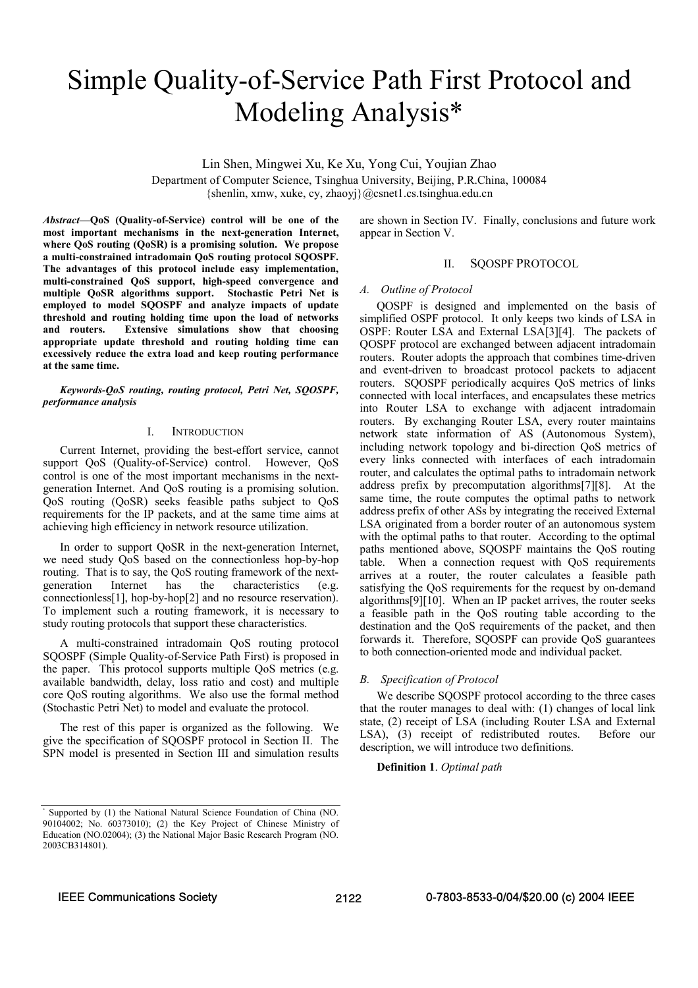# Simple Quality-of-Service Path First Protocol and Modeling Analysis\*

Lin Shen, Mingwei Xu, Ke Xu, Yong Cui, Youjian Zhao

Department of Computer Science, Tsinghua University, Beijing, P.R.China, 100084 {shenlin, xmw, xuke, cy, zhaoyj}@csnet1.cs.tsinghua.edu.cn

*Abstract***—QoS (Quality-of-Service) control will be one of the most important mechanisms in the next-generation Internet, where QoS routing (QoSR) is a promising solution. We propose a multi-constrained intradomain QoS routing protocol SQOSPF. The advantages of this protocol include easy implementation, multi-constrained QoS support, high-speed convergence and multiple QoSR algorithms support. Stochastic Petri Net is employed to model SQOSPF and analyze impacts of update threshold and routing holding time upon the load of networks and routers. Extensive simulations show that choosing appropriate update threshold and routing holding time can excessively reduce the extra load and keep routing performance at the same time.** 

*Keywords-QoS routing, routing protocol, Petri Net, SQOSPF, performance analysis* 

## I. INTRODUCTION

Current Internet, providing the best-effort service, cannot support QoS (Quality-of-Service) control. However, QoS control is one of the most important mechanisms in the nextgeneration Internet. And QoS routing is a promising solution. QoS routing (QoSR) seeks feasible paths subject to QoS requirements for the IP packets, and at the same time aims at achieving high efficiency in network resource utilization.

In order to support QoSR in the next-generation Internet, we need study QoS based on the connectionless hop-by-hop routing. That is to say, the QoS routing framework of the nextgeneration Internet has the characteristics (e.g. connectionless[1], hop-by-hop[2] and no resource reservation). To implement such a routing framework, it is necessary to study routing protocols that support these characteristics.

A multi-constrained intradomain QoS routing protocol SQOSPF (Simple Quality-of-Service Path First) is proposed in the paper. This protocol supports multiple QoS metrics (e.g. available bandwidth, delay, loss ratio and cost) and multiple core QoS routing algorithms. We also use the formal method (Stochastic Petri Net) to model and evaluate the protocol.

The rest of this paper is organized as the following. We give the specification of SQOSPF protocol in Section II. The SPN model is presented in Section III and simulation results are shown in Section IV. Finally, conclusions and future work appear in Section V.

## II. SOOSPF PROTOCOL

## *A. Outline of Protocol*

QOSPF is designed and implemented on the basis of simplified OSPF protocol. It only keeps two kinds of LSA in OSPF: Router LSA and External LSA[3][4]. The packets of QOSPF protocol are exchanged between adjacent intradomain routers. Router adopts the approach that combines time-driven and event-driven to broadcast protocol packets to adjacent routers. SQOSPF periodically acquires QoS metrics of links connected with local interfaces, and encapsulates these metrics into Router LSA to exchange with adjacent intradomain routers. By exchanging Router LSA, every router maintains network state information of AS (Autonomous System), including network topology and bi-direction QoS metrics of every links connected with interfaces of each intradomain router, and calculates the optimal paths to intradomain network address prefix by precomputation algorithms[7][8]. At the same time, the route computes the optimal paths to network address prefix of other ASs by integrating the received External LSA originated from a border router of an autonomous system with the optimal paths to that router. According to the optimal paths mentioned above, SQOSPF maintains the QoS routing table. When a connection request with QoS requirements arrives at a router, the router calculates a feasible path satisfying the QoS requirements for the request by on-demand algorithms[9][10]. When an IP packet arrives, the router seeks a feasible path in the QoS routing table according to the destination and the QoS requirements of the packet, and then forwards it. Therefore, SQOSPF can provide QoS guarantees to both connection-oriented mode and individual packet.

## *B. Specification of Protocol*

We describe SQOSPF protocol according to the three cases that the router manages to deal with: (1) changes of local link state, (2) receipt of LSA (including Router LSA and External LSA), (3) receipt of redistributed routes. Before our description, we will introduce two definitions.

## **Definition 1**. *Optimal path*

<sup>∗</sup> Supported by (1) the National Natural Science Foundation of China (NO. 90104002; No. 60373010); (2) the Key Project of Chinese Ministry of Education (NO.02004); (3) the National Major Basic Research Program (NO. 2003CB314801).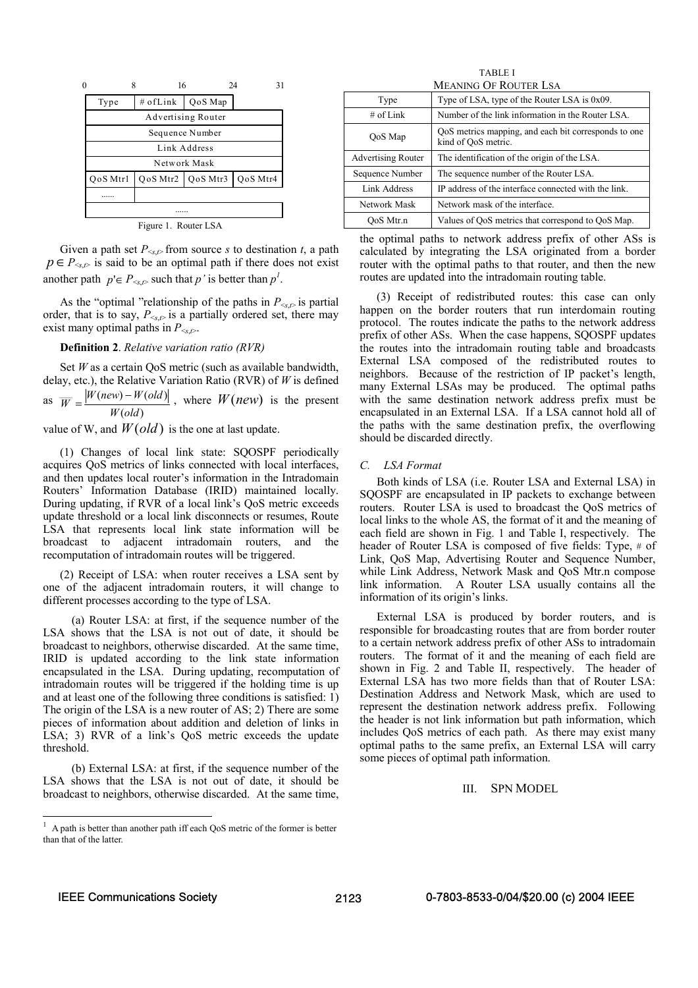| $\mathbf{0}$         | 16       |          | 24<br>31 |  |  |
|----------------------|----------|----------|----------|--|--|
| Type                 | # ofLink | QoS Map  |          |  |  |
| Advertising Router   |          |          |          |  |  |
| Sequence Number      |          |          |          |  |  |
| Link Address         |          |          |          |  |  |
| Network Mask         |          |          |          |  |  |
| QoS Mtrl             | QoS Mtr2 | QoS Mtr3 | QoS Mtr4 |  |  |
|                      |          |          |          |  |  |
|                      |          |          |          |  |  |
| Figure 1. Router LSA |          |          |          |  |  |

Given a path set  $P_{\leq x, p}$  from source *s* to destination *t*, a path  $p \in P_{\leq s, t>}$  is said to be an optimal path if there does not exist another path  $p' \in P_{\leq s, t>}$  such that *p*' is better than  $p'$ .

As the "optimal "relationship of the paths in  $P_{\leq x, \rho}$  is partial order, that is to say,  $P_{\leq s, \rho}$  is a partially ordered set, there may exist many optimal paths in  $P_{\leq r}$ .

## **Definition 2**. *Relative variation ratio (RVR)*

Set *W* as a certain QoS metric (such as available bandwidth, delay, etc.), the Relative Variation Ratio (RVR) of *W* is defined as  $\left( old\right)$  $W(new) - W(old)$ *W old*  $\overline{W} = \frac{|W(new) - W(old)|}{W(1 + k)}$ , where  $W(new)$  is the present

value of W, and  $W(\text{old})$  is the one at last update.

(1) Changes of local link state: SQOSPF periodically acquires QoS metrics of links connected with local interfaces, and then updates local router's information in the Intradomain Routers' Information Database (IRID) maintained locally. During updating, if RVR of a local link's QoS metric exceeds update threshold or a local link disconnects or resumes, Route LSA that represents local link state information will be broadcast to adjacent intradomain routers, and the recomputation of intradomain routes will be triggered.

(2) Receipt of LSA: when router receives a LSA sent by one of the adjacent intradomain routers, it will change to different processes according to the type of LSA.

(a) Router LSA: at first, if the sequence number of the LSA shows that the LSA is not out of date, it should be broadcast to neighbors, otherwise discarded. At the same time, IRID is updated according to the link state information encapsulated in the LSA. During updating, recomputation of intradomain routes will be triggered if the holding time is up and at least one of the following three conditions is satisfied: 1) The origin of the LSA is a new router of AS; 2) There are some pieces of information about addition and deletion of links in LSA; 3) RVR of a link's QoS metric exceeds the update threshold.

(b) External LSA: at first, if the sequence number of the LSA shows that the LSA is not out of date, it should be broadcast to neighbors, otherwise discarded. At the same time,

TABLE I MEANING OF ROUTER LSA

| Type                      | Type of LSA, type of the Router LSA is 0x09.                                |  |  |  |
|---------------------------|-----------------------------------------------------------------------------|--|--|--|
| # of $Link$               | Number of the link information in the Router LSA.                           |  |  |  |
| QoS Map                   | QoS metrics mapping, and each bit corresponds to one<br>kind of OoS metric. |  |  |  |
| <b>Advertising Router</b> | The identification of the origin of the LSA.                                |  |  |  |
| Sequence Number           | The sequence number of the Router LSA.                                      |  |  |  |
| Link Address              | IP address of the interface connected with the link.                        |  |  |  |
| Network Mask              | Network mask of the interface.                                              |  |  |  |
| OoS Mtr.n                 | Values of QoS metrics that correspond to QoS Map.                           |  |  |  |

the optimal paths to network address prefix of other ASs is calculated by integrating the LSA originated from a border router with the optimal paths to that router, and then the new routes are updated into the intradomain routing table.

(3) Receipt of redistributed routes: this case can only happen on the border routers that run interdomain routing protocol. The routes indicate the paths to the network address prefix of other ASs. When the case happens, SQOSPF updates the routes into the intradomain routing table and broadcasts External LSA composed of the redistributed routes to neighbors. Because of the restriction of IP packet's length, many External LSAs may be produced. The optimal paths with the same destination network address prefix must be encapsulated in an External LSA. If a LSA cannot hold all of the paths with the same destination prefix, the overflowing should be discarded directly.

## *C. LSA Format*

Both kinds of LSA (i.e. Router LSA and External LSA) in SQOSPF are encapsulated in IP packets to exchange between routers. Router LSA is used to broadcast the QoS metrics of local links to the whole AS, the format of it and the meaning of each field are shown in Fig. 1 and Table I, respectively. The header of Router LSA is composed of five fields: Type, # of Link, QoS Map, Advertising Router and Sequence Number, while Link Address, Network Mask and QoS Mtr.n compose link information. A Router LSA usually contains all the information of its origin's links.

External LSA is produced by border routers, and is responsible for broadcasting routes that are from border router to a certain network address prefix of other ASs to intradomain routers. The format of it and the meaning of each field are shown in Fig. 2 and Table II, respectively. The header of External LSA has two more fields than that of Router LSA: Destination Address and Network Mask, which are used to represent the destination network address prefix. Following the header is not link information but path information, which includes QoS metrics of each path. As there may exist many optimal paths to the same prefix, an External LSA will carry some pieces of optimal path information.

## III. SPN MODEL

l

 $<sup>1</sup>$  A path is better than another path iff each QoS metric of the former is better</sup> than that of the latter.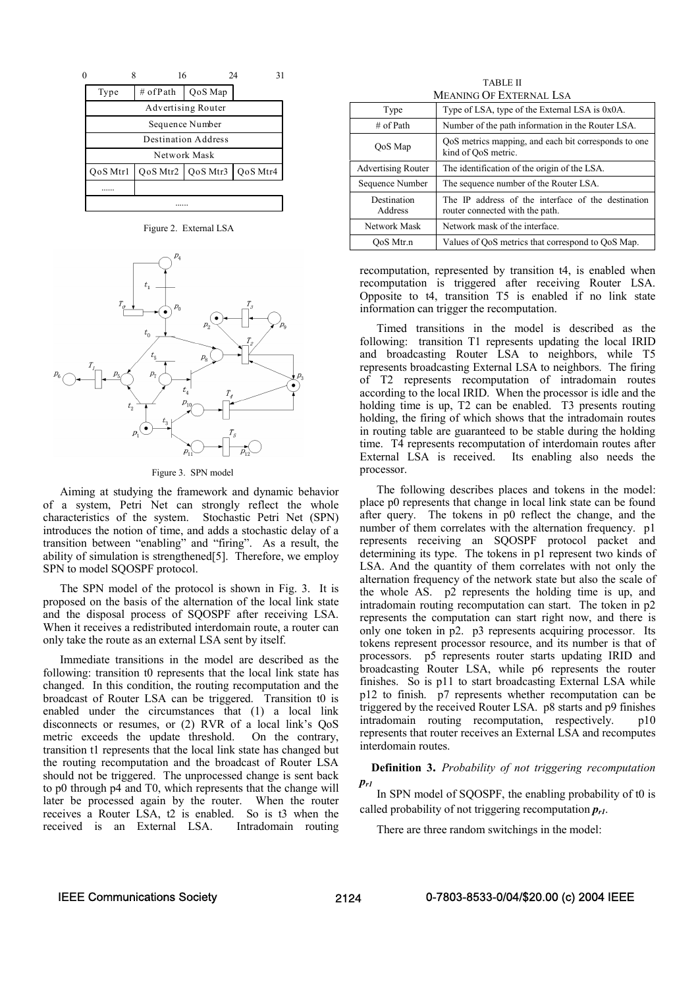

Figure 2. External LSA



#### Figure 3. SPN model

Aiming at studying the framework and dynamic behavior of a system, Petri Net can strongly reflect the whole characteristics of the system. Stochastic Petri Net (SPN) introduces the notion of time, and adds a stochastic delay of a transition between "enabling" and "firing". As a result, the ability of simulation is strengthened[5]. Therefore, we employ SPN to model SQOSPF protocol.

The SPN model of the protocol is shown in Fig. 3. It is proposed on the basis of the alternation of the local link state and the disposal process of SQOSPF after receiving LSA. When it receives a redistributed interdomain route, a router can only take the route as an external LSA sent by itself.

Immediate transitions in the model are described as the following: transition t0 represents that the local link state has changed. In this condition, the routing recomputation and the broadcast of Router LSA can be triggered. Transition t0 is enabled under the circumstances that (1) a local link disconnects or resumes, or (2) RVR of a local link's QoS metric exceeds the update threshold. On the contrary, transition t1 represents that the local link state has changed but the routing recomputation and the broadcast of Router LSA should not be triggered. The unprocessed change is sent back to p0 through p4 and T0, which represents that the change will later be processed again by the router. When the router receives a Router LSA, t2 is enabled. So is t3 when the received is an External LSA. Intradomain routing

TABLE II MEANING OF EXTERNAL LSA

| Type                      | Type of LSA, type of the External LSA is 0x0A.                                        |  |
|---------------------------|---------------------------------------------------------------------------------------|--|
| $\#$ of Path              | Number of the path information in the Router LSA.                                     |  |
| QoS Map                   | QoS metrics mapping, and each bit corresponds to one<br>kind of QoS metric.           |  |
| <b>Advertising Router</b> | The identification of the origin of the LSA.                                          |  |
| Sequence Number           | The sequence number of the Router LSA.                                                |  |
| Destination<br>Address    | The IP address of the interface of the destination<br>router connected with the path. |  |
| Network Mask              | Network mask of the interface.                                                        |  |
| OoS Mtr.n                 | Values of QoS metrics that correspond to QoS Map.                                     |  |

recomputation, represented by transition t4, is enabled when recomputation is triggered after receiving Router LSA. Opposite to t4, transition T5 is enabled if no link state information can trigger the recomputation.

Timed transitions in the model is described as the following: transition T1 represents updating the local IRID and broadcasting Router LSA to neighbors, while T5 represents broadcasting External LSA to neighbors. The firing of T2 represents recomputation of intradomain routes according to the local IRID. When the processor is idle and the holding time is up, T2 can be enabled. T3 presents routing holding, the firing of which shows that the intradomain routes in routing table are guaranteed to be stable during the holding time. T4 represents recomputation of interdomain routes after External LSA is received. Its enabling also needs the processor.

The following describes places and tokens in the model: place p0 represents that change in local link state can be found after query. The tokens in p0 reflect the change, and the number of them correlates with the alternation frequency. p1 represents receiving an SQOSPF protocol packet and determining its type. The tokens in p1 represent two kinds of LSA. And the quantity of them correlates with not only the alternation frequency of the network state but also the scale of the whole AS. p2 represents the holding time is up, and intradomain routing recomputation can start. The token in p2 represents the computation can start right now, and there is only one token in p2. p3 represents acquiring processor. Its tokens represent processor resource, and its number is that of processors. p5 represents router starts updating IRID and broadcasting Router LSA, while p6 represents the router finishes. So is p11 to start broadcasting External LSA while p12 to finish. p7 represents whether recomputation can be triggered by the received Router LSA. p8 starts and p9 finishes intradomain routing recomputation, respectively. p10 represents that router receives an External LSA and recomputes interdomain routes.

**Definition 3.** *Probability of not triggering recomputation pr1*

In SPN model of SQOSPF, the enabling probability of t0 is called probability of not triggering recomputation  $p_{r1}$ .

There are three random switchings in the model: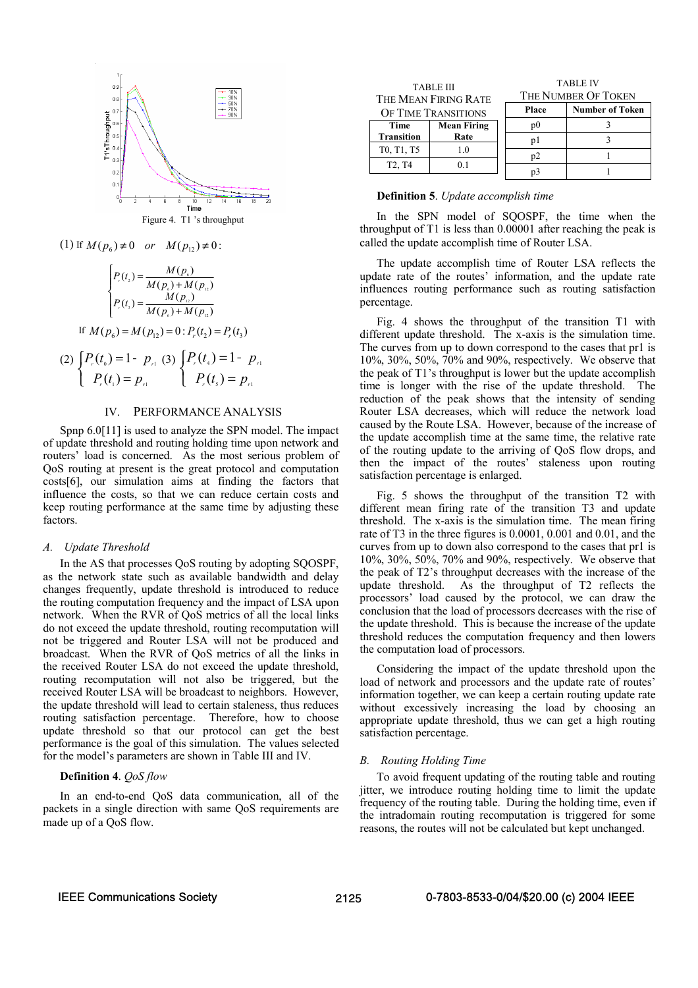



(1) If 
$$
M(p_6) \neq 0
$$
 or  $M(p_{12}) \neq 0$ :  

$$
\begin{cases} p_{(t_1)} = M(p_6) \end{cases}
$$

$$
\begin{cases}\nP_{\cdot}(t_{2}) = \frac{M(p_{\cdot})}{M(p_{\cdot}) + M(p_{\cdot})} \\
P_{\cdot}(t_{3}) = \frac{M(p_{\cdot})}{M(p_{\cdot}) + M(p_{\cdot})} \\
\text{If } M(p_{6}) = M(p_{12}) = 0: P_{\cdot}(t_{2}) = P_{\cdot}(t_{3}) \\
\text{If } P_{\cdot}(t_{0}) = 1 - P_{\cdot 1} \\
P_{\cdot}(t_{1}) = P_{\cdot 1} \\
P_{\cdot}(t_{2}) = P_{\cdot 1} \\
P_{\cdot}(t_{3}) = P_{\cdot 1}\n\end{cases}
$$

## IV. PERFORMANCE ANALYSIS

Spnp 6.0[11] is used to analyze the SPN model. The impact of update threshold and routing holding time upon network and routers' load is concerned. As the most serious problem of QoS routing at present is the great protocol and computation costs[6], our simulation aims at finding the factors that influence the costs, so that we can reduce certain costs and keep routing performance at the same time by adjusting these factors.

## *A. Update Threshold*

(2)

In the AS that processes QoS routing by adopting SQOSPF, as the network state such as available bandwidth and delay changes frequently, update threshold is introduced to reduce the routing computation frequency and the impact of LSA upon network. When the RVR of QoS metrics of all the local links do not exceed the update threshold, routing recomputation will not be triggered and Router LSA will not be produced and broadcast. When the RVR of QoS metrics of all the links in the received Router LSA do not exceed the update threshold, routing recomputation will not also be triggered, but the received Router LSA will be broadcast to neighbors. However, the update threshold will lead to certain staleness, thus reduces routing satisfaction percentage. Therefore, how to choose update threshold so that our protocol can get the best performance is the goal of this simulation. The values selected for the model's parameters are shown in Table III and IV.

## **Definition 4**. *QoS flow*

In an end-to-end QoS data communication, all of the packets in a single direction with same QoS requirements are made up of a QoS flow.

| <b>TABLE III</b><br>THE MEAN FIRING RATE    |                    | <b>TABLE IV</b><br>THE NUMBER OF TOKEN |                        |
|---------------------------------------------|--------------------|----------------------------------------|------------------------|
| OF TIME TRANSITIONS                         |                    | Place                                  | <b>Number of Token</b> |
| Time                                        | <b>Mean Firing</b> | p <sub>0</sub>                         |                        |
| <b>Transition</b>                           | Rate               | pl                                     |                        |
| T0, T1, T5                                  | 1.0                | p2                                     |                        |
| T <sub>2</sub> , T <sub>4</sub><br>$^{0}$ 1 | p3                 |                                        |                        |

## **Definition 5**. *Update accomplish time*

In the SPN model of SOOSPF, the time when the throughput of T1 is less than 0.00001 after reaching the peak is called the update accomplish time of Router LSA.

The update accomplish time of Router LSA reflects the update rate of the routes' information, and the update rate influences routing performance such as routing satisfaction percentage.

Fig. 4 shows the throughput of the transition T1 with different update threshold. The x-axis is the simulation time. The curves from up to down correspond to the cases that pr1 is 10%, 30%, 50%, 70% and 90%, respectively. We observe that the peak of T1's throughput is lower but the update accomplish time is longer with the rise of the update threshold. The reduction of the peak shows that the intensity of sending Router LSA decreases, which will reduce the network load caused by the Route LSA. However, because of the increase of the update accomplish time at the same time, the relative rate of the routing update to the arriving of QoS flow drops, and then the impact of the routes' staleness upon routing satisfaction percentage is enlarged.

Fig. 5 shows the throughput of the transition T2 with different mean firing rate of the transition T3 and update threshold. The x-axis is the simulation time. The mean firing rate of T3 in the three figures is 0.0001, 0.001 and 0.01, and the curves from up to down also correspond to the cases that pr1 is 10%, 30%, 50%, 70% and 90%, respectively. We observe that the peak of T2's throughput decreases with the increase of the update threshold. As the throughput of T2 reflects the processors' load caused by the protocol, we can draw the conclusion that the load of processors decreases with the rise of the update threshold. This is because the increase of the update threshold reduces the computation frequency and then lowers the computation load of processors.

Considering the impact of the update threshold upon the load of network and processors and the update rate of routes' information together, we can keep a certain routing update rate without excessively increasing the load by choosing an appropriate update threshold, thus we can get a high routing satisfaction percentage.

### *B. Routing Holding Time*

To avoid frequent updating of the routing table and routing jitter, we introduce routing holding time to limit the update frequency of the routing table. During the holding time, even if the intradomain routing recomputation is triggered for some reasons, the routes will not be calculated but kept unchanged.